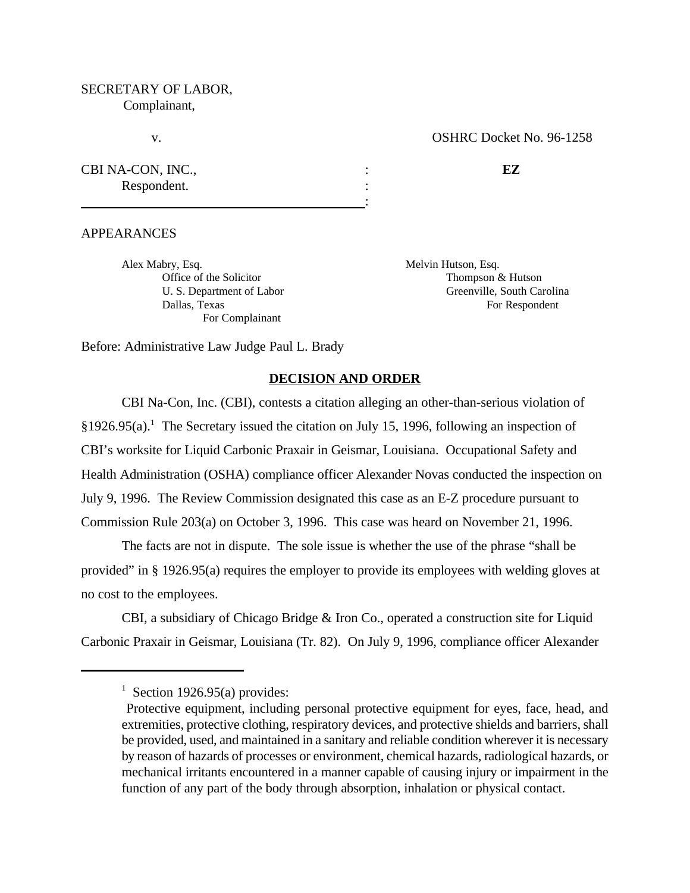# SECRETARY OF LABOR, Complainant,

# v. COSHRC Docket No. 96-1258

| CBI NA-CON, INC., |  |
|-------------------|--|
| Respondent.       |  |
|                   |  |

APPEARANCES

Alex Mabry, Esq. Solution and Melvin Hutson, Esq. For Complainant

Office of the Solicitor Thompson & Hutson U. S. Department of Labor Greenville, South Carolina Dallas, Texas For Respondent Contract and the Equation of Respondent Contract and Texas For Respondent

Before: Administrative Law Judge Paul L. Brady

### **DECISION AND ORDER**

CBI Na-Con, Inc. (CBI), contests a citation alleging an other-than-serious violation of  $§1926.95(a).$ <sup>1</sup> The Secretary issued the citation on July 15, 1996, following an inspection of CBI's worksite for Liquid Carbonic Praxair in Geismar, Louisiana. Occupational Safety and Health Administration (OSHA) compliance officer Alexander Novas conducted the inspection on July 9, 1996. The Review Commission designated this case as an E-Z procedure pursuant to Commission Rule 203(a) on October 3, 1996. This case was heard on November 21, 1996.

The facts are not in dispute. The sole issue is whether the use of the phrase "shall be provided" in § 1926.95(a) requires the employer to provide its employees with welding gloves at no cost to the employees.

CBI, a subsidiary of Chicago Bridge & Iron Co., operated a construction site for Liquid Carbonic Praxair in Geismar, Louisiana (Tr. 82). On July 9, 1996, compliance officer Alexander

 $1$  Section 1926.95(a) provides:

Protective equipment, including personal protective equipment for eyes, face, head, and extremities, protective clothing, respiratory devices, and protective shields and barriers, shall be provided, used, and maintained in a sanitary and reliable condition wherever it is necessary by reason of hazards of processes or environment, chemical hazards, radiological hazards, or mechanical irritants encountered in a manner capable of causing injury or impairment in the function of any part of the body through absorption, inhalation or physical contact.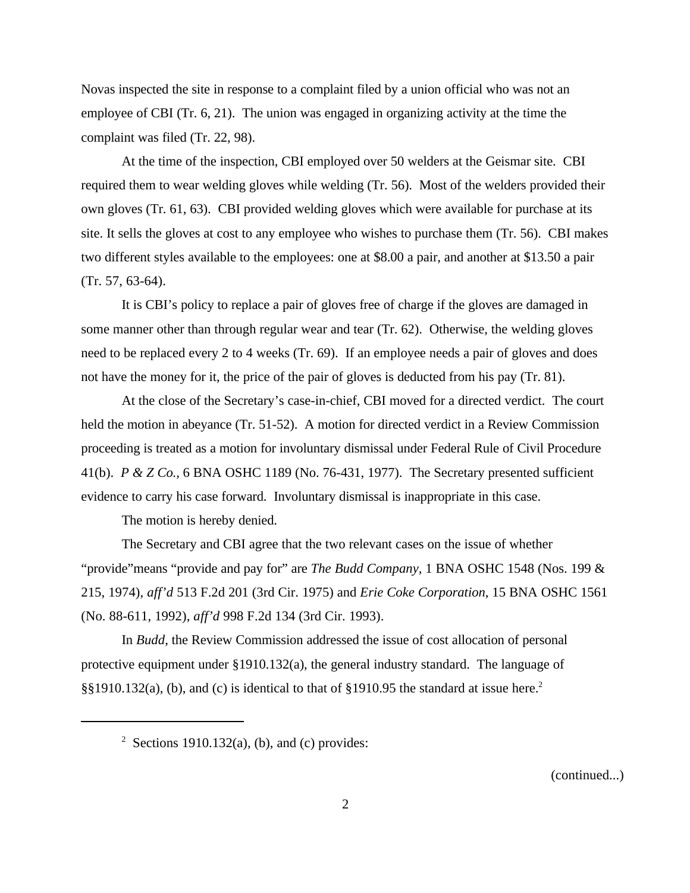Novas inspected the site in response to a complaint filed by a union official who was not an employee of CBI (Tr. 6, 21). The union was engaged in organizing activity at the time the complaint was filed (Tr. 22, 98).

At the time of the inspection, CBI employed over 50 welders at the Geismar site. CBI required them to wear welding gloves while welding (Tr. 56). Most of the welders provided their own gloves (Tr. 61, 63). CBI provided welding gloves which were available for purchase at its site. It sells the gloves at cost to any employee who wishes to purchase them (Tr. 56). CBI makes two different styles available to the employees: one at \$8.00 a pair, and another at \$13.50 a pair (Tr. 57, 63-64).

It is CBI's policy to replace a pair of gloves free of charge if the gloves are damaged in some manner other than through regular wear and tear (Tr. 62). Otherwise, the welding gloves need to be replaced every 2 to 4 weeks (Tr. 69). If an employee needs a pair of gloves and does not have the money for it, the price of the pair of gloves is deducted from his pay (Tr. 81).

At the close of the Secretary's case-in-chief, CBI moved for a directed verdict. The court held the motion in abeyance (Tr. 51-52). A motion for directed verdict in a Review Commission proceeding is treated as a motion for involuntary dismissal under Federal Rule of Civil Procedure 41(b). *P & Z Co.,* 6 BNA OSHC 1189 (No. 76-431, 1977). The Secretary presented sufficient evidence to carry his case forward. Involuntary dismissal is inappropriate in this case.

The motion is hereby denied.

The Secretary and CBI agree that the two relevant cases on the issue of whether "provide"means "provide and pay for" are *The Budd Company,* 1 BNA OSHC 1548 (Nos. 199 & 215, 1974), *aff'd* 513 F.2d 201 (3rd Cir. 1975) and *Erie Coke Corporation*, 15 BNA OSHC 1561 (No. 88-611, 1992), *aff'd* 998 F.2d 134 (3rd Cir. 1993).

In *Budd*, the Review Commission addressed the issue of cost allocation of personal protective equipment under §1910.132(a), the general industry standard. The language of §§1910.132(a), (b), and (c) is identical to that of §1910.95 the standard at issue here.<sup>2</sup>

(continued...)

 $2^2$  Sections 1910.132(a), (b), and (c) provides: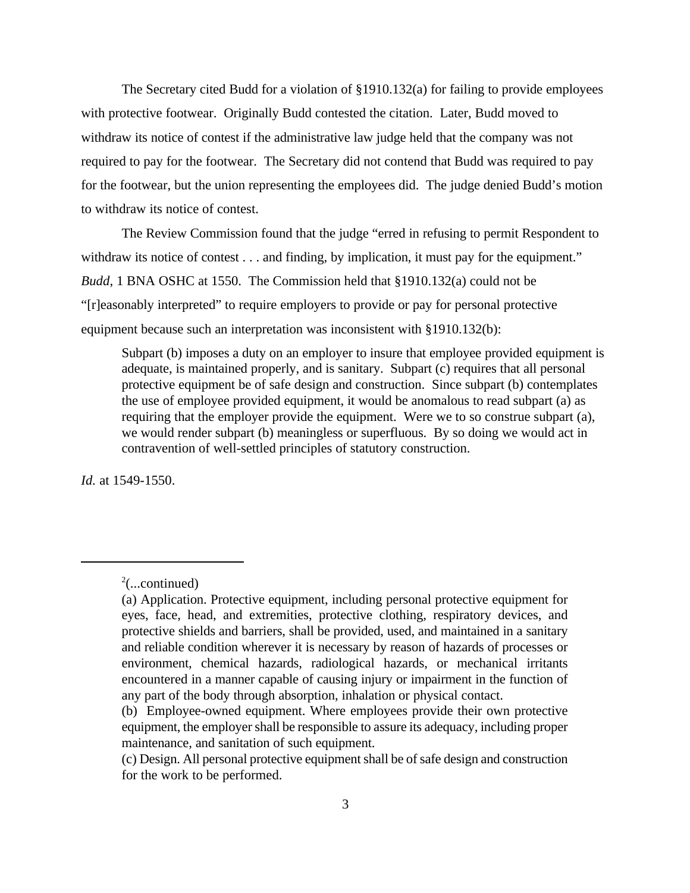The Secretary cited Budd for a violation of §1910.132(a) for failing to provide employees with protective footwear. Originally Budd contested the citation. Later, Budd moved to withdraw its notice of contest if the administrative law judge held that the company was not required to pay for the footwear. The Secretary did not contend that Budd was required to pay for the footwear, but the union representing the employees did. The judge denied Budd's motion to withdraw its notice of contest.

The Review Commission found that the judge "erred in refusing to permit Respondent to withdraw its notice of contest . . . and finding, by implication, it must pay for the equipment." *Budd*, 1 BNA OSHC at 1550. The Commission held that §1910.132(a) could not be "[r]easonably interpreted" to require employers to provide or pay for personal protective equipment because such an interpretation was inconsistent with §1910.132(b):

Subpart (b) imposes a duty on an employer to insure that employee provided equipment is adequate, is maintained properly, and is sanitary. Subpart (c) requires that all personal protective equipment be of safe design and construction. Since subpart (b) contemplates the use of employee provided equipment, it would be anomalous to read subpart (a) as requiring that the employer provide the equipment. Were we to so construe subpart (a), we would render subpart (b) meaningless or superfluous. By so doing we would act in contravention of well-settled principles of statutory construction.

*Id.* at 1549-1550.

 $2$ (...continued)

<sup>(</sup>a) Application. Protective equipment, including personal protective equipment for eyes, face, head, and extremities, protective clothing, respiratory devices, and protective shields and barriers, shall be provided, used, and maintained in a sanitary and reliable condition wherever it is necessary by reason of hazards of processes or environment, chemical hazards, radiological hazards, or mechanical irritants encountered in a manner capable of causing injury or impairment in the function of any part of the body through absorption, inhalation or physical contact.

<sup>(</sup>b) Employee-owned equipment. Where employees provide their own protective equipment, the employer shall be responsible to assure its adequacy, including proper maintenance, and sanitation of such equipment.

<sup>(</sup>c) Design. All personal protective equipment shall be of safe design and construction for the work to be performed.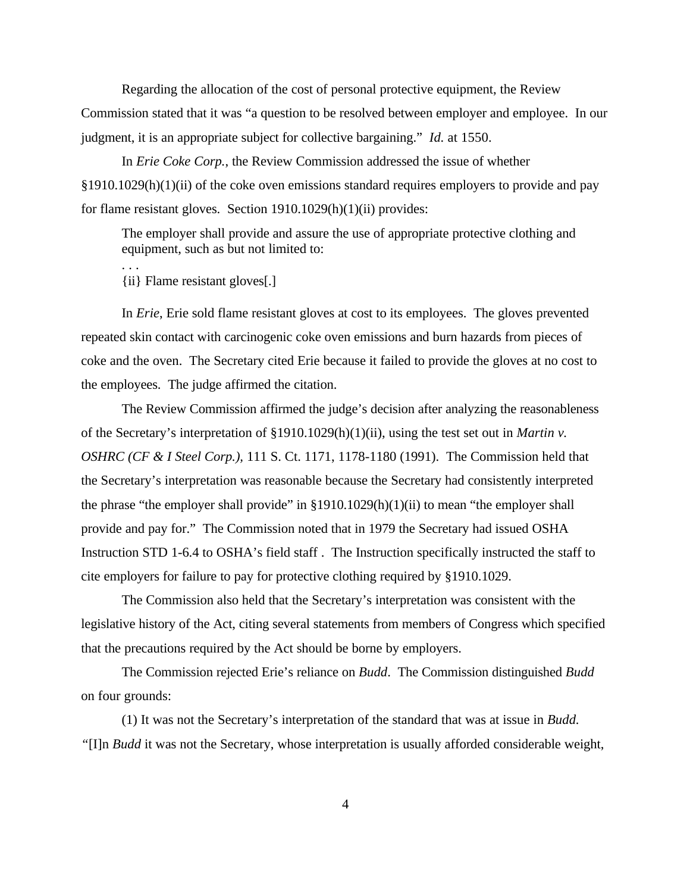Regarding the allocation of the cost of personal protective equipment, the Review Commission stated that it was "a question to be resolved between employer and employee. In our judgment, it is an appropriate subject for collective bargaining." *Id.* at 1550.

In *Erie Coke Corp.*, the Review Commission addressed the issue of whether  $§1910.1029(h)(1)(ii)$  of the coke oven emissions standard requires employers to provide and pay for flame resistant gloves. Section 1910.1029(h)(1)(ii) provides:

The employer shall provide and assure the use of appropriate protective clothing and equipment, such as but not limited to:

{ii} Flame resistant gloves[.]

. . .

In *Erie*, Erie sold flame resistant gloves at cost to its employees. The gloves prevented repeated skin contact with carcinogenic coke oven emissions and burn hazards from pieces of coke and the oven. The Secretary cited Erie because it failed to provide the gloves at no cost to the employees. The judge affirmed the citation.

The Review Commission affirmed the judge's decision after analyzing the reasonableness of the Secretary's interpretation of §1910.1029(h)(1)(ii), using the test set out in *Martin v. OSHRC (CF & I Steel Corp.),* 111 S. Ct. 1171, 1178-1180 (1991). The Commission held that the Secretary's interpretation was reasonable because the Secretary had consistently interpreted the phrase "the employer shall provide" in  $\S 1910.1029(h)(1)(ii)$  to mean "the employer shall provide and pay for." The Commission noted that in 1979 the Secretary had issued OSHA Instruction STD 1-6.4 to OSHA's field staff . The Instruction specifically instructed the staff to cite employers for failure to pay for protective clothing required by §1910.1029.

The Commission also held that the Secretary's interpretation was consistent with the legislative history of the Act, citing several statements from members of Congress which specified that the precautions required by the Act should be borne by employers.

The Commission rejected Erie's reliance on *Budd*. The Commission distinguished *Budd* on four grounds:

(1) It was not the Secretary's interpretation of the standard that was at issue in *Budd. "*[I]n *Budd* it was not the Secretary, whose interpretation is usually afforded considerable weight,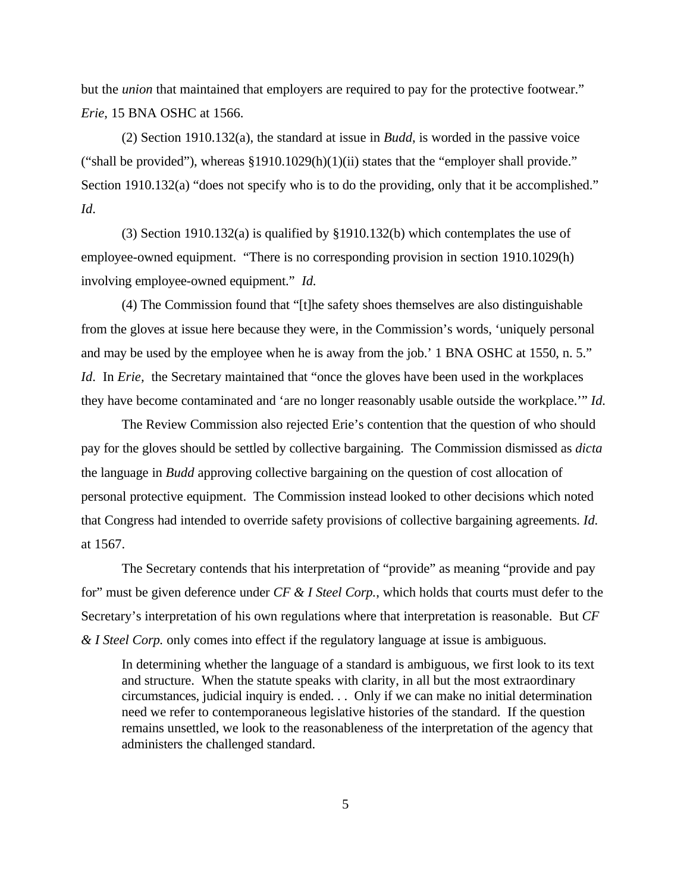but the *union* that maintained that employers are required to pay for the protective footwear." *Erie*, 15 BNA OSHC at 1566.

(2) Section 1910.132(a), the standard at issue in *Budd*, is worded in the passive voice ("shall be provided"), whereas  $\S1910.1029(h)(1)(ii)$  states that the "employer shall provide." Section 1910.132(a) "does not specify who is to do the providing, only that it be accomplished." *Id*.

(3) Section 1910.132(a) is qualified by §1910.132(b) which contemplates the use of employee-owned equipment. "There is no corresponding provision in section 1910.1029(h) involving employee-owned equipment." *Id.*

(4) The Commission found that "[t]he safety shoes themselves are also distinguishable from the gloves at issue here because they were, in the Commission's words, 'uniquely personal and may be used by the employee when he is away from the job.' 1 BNA OSHC at 1550, n. 5." *Id.* In *Erie*, the Secretary maintained that "once the gloves have been used in the workplaces" they have become contaminated and 'are no longer reasonably usable outside the workplace.'" *Id.*

The Review Commission also rejected Erie's contention that the question of who should pay for the gloves should be settled by collective bargaining. The Commission dismissed as *dicta* the language in *Budd* approving collective bargaining on the question of cost allocation of personal protective equipment. The Commission instead looked to other decisions which noted that Congress had intended to override safety provisions of collective bargaining agreements. *Id.* at 1567.

The Secretary contends that his interpretation of "provide" as meaning "provide and pay for" must be given deference under *CF & I Steel Corp.*, which holds that courts must defer to the Secretary's interpretation of his own regulations where that interpretation is reasonable. But *CF & I Steel Corp.* only comes into effect if the regulatory language at issue is ambiguous.

In determining whether the language of a standard is ambiguous, we first look to its text and structure. When the statute speaks with clarity, in all but the most extraordinary circumstances, judicial inquiry is ended. . . Only if we can make no initial determination need we refer to contemporaneous legislative histories of the standard. If the question remains unsettled, we look to the reasonableness of the interpretation of the agency that administers the challenged standard.

5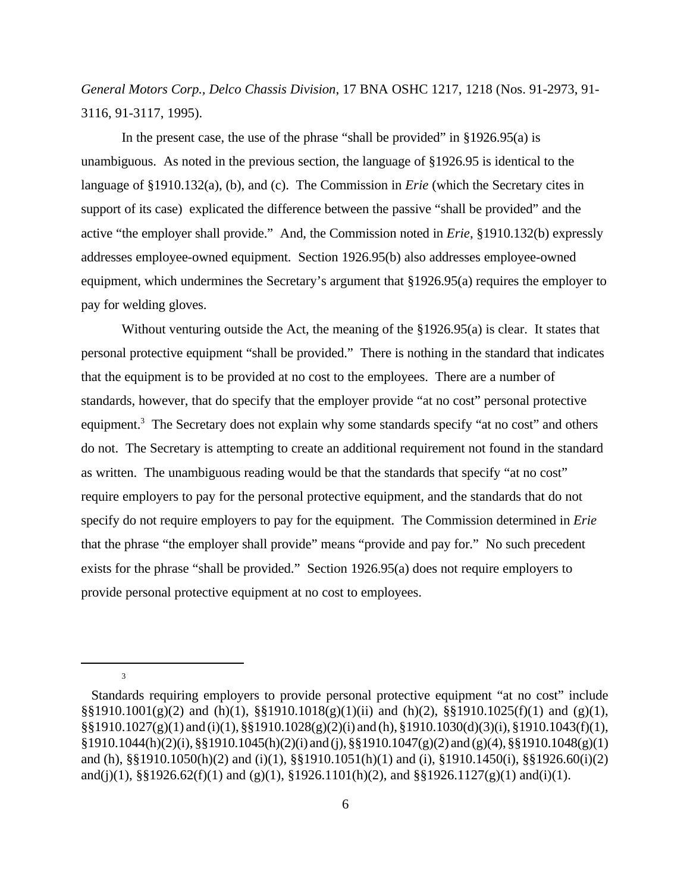*General Motors Corp., Delco Chassis Division*, 17 BNA OSHC 1217, 1218 (Nos. 91-2973, 91- 3116, 91-3117, 1995).

In the present case, the use of the phrase "shall be provided" in  $\S 1926.95(a)$  is unambiguous. As noted in the previous section, the language of §1926.95 is identical to the language of §1910.132(a), (b), and (c). The Commission in *Erie* (which the Secretary cites in support of its case) explicated the difference between the passive "shall be provided" and the active "the employer shall provide." And, the Commission noted in *Erie*, §1910.132(b) expressly addresses employee-owned equipment. Section 1926.95(b) also addresses employee-owned equipment, which undermines the Secretary's argument that §1926.95(a) requires the employer to pay for welding gloves.

Without venturing outside the Act, the meaning of the §1926.95(a) is clear. It states that personal protective equipment "shall be provided." There is nothing in the standard that indicates that the equipment is to be provided at no cost to the employees. There are a number of standards, however, that do specify that the employer provide "at no cost" personal protective equipment.<sup>3</sup> The Secretary does not explain why some standards specify "at no cost" and others do not. The Secretary is attempting to create an additional requirement not found in the standard as written. The unambiguous reading would be that the standards that specify "at no cost" require employers to pay for the personal protective equipment, and the standards that do not specify do not require employers to pay for the equipment. The Commission determined in *Erie* that the phrase "the employer shall provide" means "provide and pay for." No such precedent exists for the phrase "shall be provided." Section 1926.95(a) does not require employers to provide personal protective equipment at no cost to employees.

3

Standards requiring employers to provide personal protective equipment "at no cost" include §§1910.1001(g)(2) and (h)(1), §§1910.1018(g)(1)(ii) and (h)(2), §§1910.1025(f)(1) and (g)(1), §§1910.1027(g)(1) and (i)(1), §§1910.1028(g)(2)(i) and (h), §1910.1030(d)(3)(i), §1910.1043(f)(1),  $\S1910.1044(h)(2)(i)$ ,  $\S\S1910.1045(h)(2)(i)$  and (j),  $\S\S1910.1047(g)(2)$  and (g)(4),  $\S\S1910.1048(g)(1)$ and (h), §§1910.1050(h)(2) and (i)(1), §§1910.1051(h)(1) and (i), §1910.1450(i), §§1926.60(i)(2) and(j)(1),  $\S$ §1926.62(f)(1) and (g)(1), §1926.1101(h)(2), and §§1926.1127(g)(1) and(i)(1).